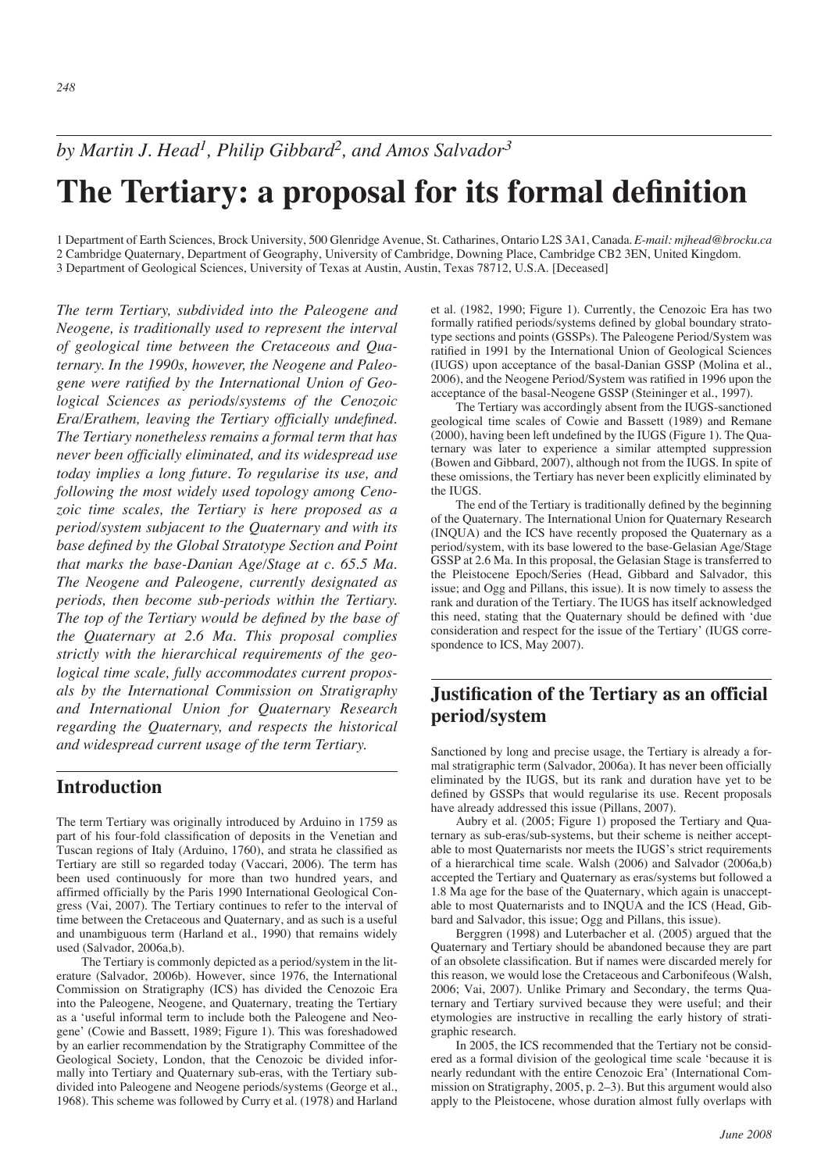# **The Tertiary: a proposal for its formal definition**

1 Department of Earth Sciences, Brock University, 500 Glenridge Avenue, St. Catharines, Ontario L2S 3A1, Canada.*E-mail: mjhead@brocku.ca* 2 Cambridge Quaternary, Department of Geography, University of Cambridge, Downing Place, Cambridge CB2 3EN, United Kingdom. 3 Department of Geological Sciences, University of Texas at Austin, Austin, Texas 78712, U.S.A. [Deceased]

*The term Tertiary, subdivided into the Paleogene and Neogene, is traditionally used to represent the interval of geological time between the Cretaceous and Quaternary. In the 1990s, however, the Neogene and Paleogene were ratified by the International Union of Geological Sciences as periods/systems of the Cenozoic Era/Erathem, leaving the Tertiary officially undefined. The Tertiary nonetheless remains a formal term that has never been officially eliminated, and its widespread use today implies a long future. To regularise its use, and following the most widely used topology among Cenozoic time scales, the Tertiary is here proposed as a period/system subjacent to the Quaternary and with its base defined by the Global Stratotype Section and Point that marks the base-Danian Age/Stage at c. 65.5 Ma. The Neogene and Paleogene, currently designated as periods, then become sub-periods within the Tertiary. The top of the Tertiary would be defined by the base of the Quaternary at 2.6 Ma. This proposal complies strictly with the hierarchical requirements of the geological time scale, fully accommodates current proposals by the International Commission on Stratigraphy and International Union for Quaternary Research regarding the Quaternary, and respects the historical and widespread current usage of the term Tertiary.*

### **Introduction**

The term Tertiary was originally introduced by Arduino in 1759 as part of his four-fold classification of deposits in the Venetian and Tuscan regions of Italy (Arduino, 1760), and strata he classified as Tertiary are still so regarded today (Vaccari, 2006). The term has been used continuously for more than two hundred years, and affirmed officially by the Paris 1990 International Geological Congress (Vai, 2007). The Tertiary continues to refer to the interval of time between the Cretaceous and Quaternary, and as such is a useful and unambiguous term (Harland et al., 1990) that remains widely used (Salvador, 2006a,b).

The Tertiary is commonly depicted as a period/system in the literature (Salvador, 2006b). However, since 1976, the International Commission on Stratigraphy (ICS) has divided the Cenozoic Era into the Paleogene, Neogene, and Quaternary, treating the Tertiary as a 'useful informal term to include both the Paleogene and Neogene' (Cowie and Bassett, 1989; Figure 1). This was foreshadowed by an earlier recommendation by the Stratigraphy Committee of the Geological Society, London, that the Cenozoic be divided informally into Tertiary and Quaternary sub-eras, with the Tertiary subdivided into Paleogene and Neogene periods/systems (George et al., 1968). This scheme was followed by Curry et al. (1978) and Harland

et al. (1982, 1990; Figure 1). Currently, the Cenozoic Era has two formally ratified periods/systems defined by global boundary stratotype sections and points (GSSPs). The Paleogene Period/System was ratified in 1991 by the International Union of Geological Sciences (IUGS) upon acceptance of the basal-Danian GSSP (Molina et al., 2006), and the Neogene Period/System was ratified in 1996 upon the acceptance of the basal-Neogene GSSP (Steininger et al., 1997).

The Tertiary was accordingly absent from the IUGS-sanctioned geological time scales of Cowie and Bassett (1989) and Remane (2000), having been left undefined by the IUGS (Figure 1). The Quaternary was later to experience a similar attempted suppression (Bowen and Gibbard, 2007), although not from the IUGS. In spite of these omissions, the Tertiary has never been explicitly eliminated by the IUGS.

The end of the Tertiary is traditionally defined by the beginning of the Quaternary. The International Union for Quaternary Research (INQUA) and the ICS have recently proposed the Quaternary as a period/system, with its base lowered to the base-Gelasian Age/Stage GSSP at 2.6 Ma. In this proposal, the Gelasian Stage is transferred to the Pleistocene Epoch/Series (Head, Gibbard and Salvador, this issue; and Ogg and Pillans, this issue). It is now timely to assess the rank and duration of the Tertiary. The IUGS has itself acknowledged this need, stating that the Quaternary should be defined with 'due consideration and respect for the issue of the Tertiary' (IUGS correspondence to ICS, May 2007).

## **Justification of the Tertiary as an official period/system**

Sanctioned by long and precise usage, the Tertiary is already a formal stratigraphic term (Salvador, 2006a). It has never been officially eliminated by the IUGS, but its rank and duration have yet to be defined by GSSPs that would regularise its use. Recent proposals have already addressed this issue (Pillans, 2007).

Aubry et al. (2005; Figure 1) proposed the Tertiary and Quaternary as sub-eras/sub-systems, but their scheme is neither acceptable to most Quaternarists nor meets the IUGS's strict requirements of a hierarchical time scale. Walsh (2006) and Salvador (2006a,b) accepted the Tertiary and Quaternary as eras/systems but followed a 1.8 Ma age for the base of the Quaternary, which again is unacceptable to most Quaternarists and to INQUA and the ICS (Head, Gibbard and Salvador, this issue; Ogg and Pillans, this issue).

Berggren (1998) and Luterbacher et al. (2005) argued that the Quaternary and Tertiary should be abandoned because they are part of an obsolete classification. But if names were discarded merely for this reason, we would lose the Cretaceous and Carbonifeous (Walsh, 2006; Vai, 2007). Unlike Primary and Secondary, the terms Quaternary and Tertiary survived because they were useful; and their etymologies are instructive in recalling the early history of stratigraphic research.

In 2005, the ICS recommended that the Tertiary not be considered as a formal division of the geological time scale 'because it is nearly redundant with the entire Cenozoic Era' (International Commission on Stratigraphy, 2005, p. 2–3). But this argument would also apply to the Pleistocene, whose duration almost fully overlaps with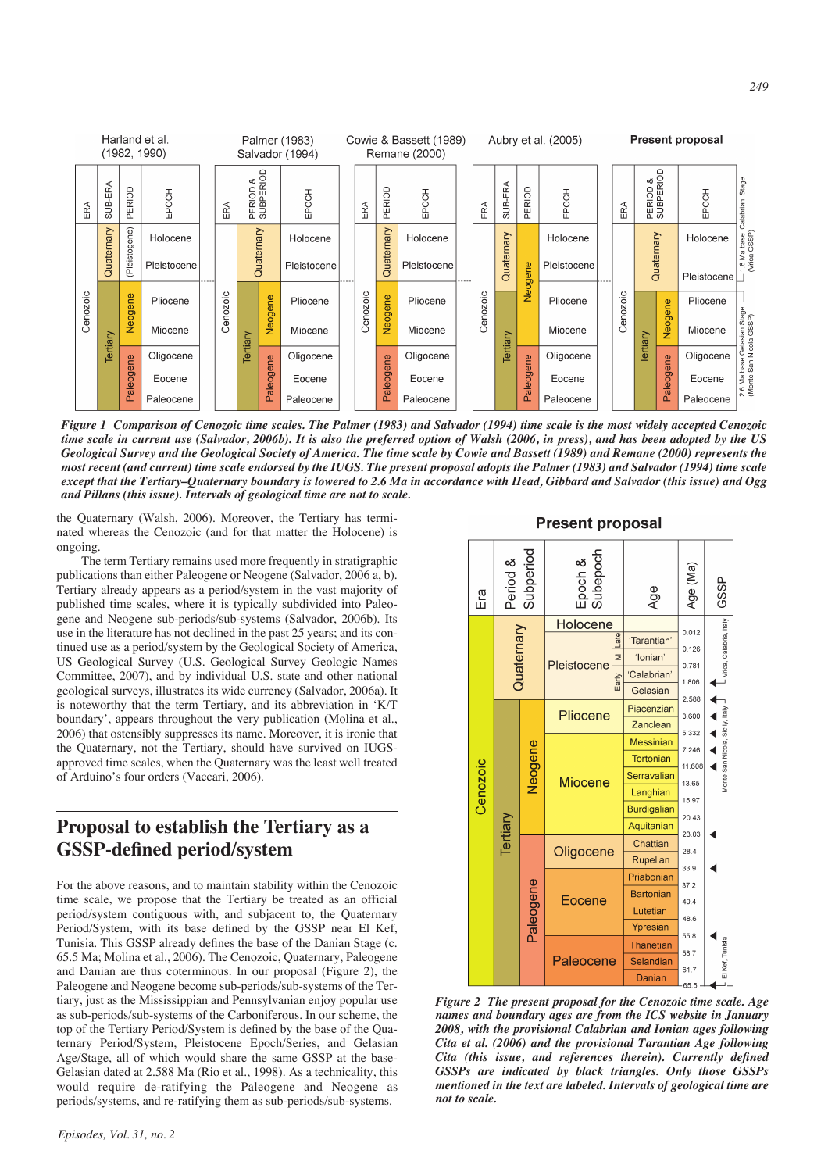

*Figure 1 Comparison of Cenozoic time scales. The Palmer (1983) and Salvador (1994) time scale is the most widely accepted Cenozoic time scale in current use (Salvador, 2006b). It is also the preferred option of Walsh (2006, in press), and has been adopted by the US Geological Survey and the Geological Society of America. The time scale by Cowie and Bassett (1989) and Remane (2000) represents the most recent (and current) time scale endorsed by the IUGS. The present proposal adopts the Palmer (1983) and Salvador (1994) time scale except that the Tertiary–Quaternary boundary is lowered to 2.6 Ma in accordance with Head, Gibbard and Salvador (this issue) and Ogg and Pillans (this issue). Intervals of geological time are not to scale.*

Paleocene

the Quaternary (Walsh, 2006). Moreover, the Tertiary has terminated whereas the Cenozoic (and for that matter the Holocene) is ongoing.

Paleocene

Paleocene

The term Tertiary remains used more frequently in stratigraphic publications than either Paleogene or Neogene (Salvador, 2006 a, b). Tertiary already appears as a period/system in the vast majority of published time scales, where it is typically subdivided into Paleogene and Neogene sub-periods/sub-systems (Salvador, 2006b). Its use in the literature has not declined in the past 25 years; and its continued use as a period/system by the Geological Society of America, US Geological Survey (U.S. Geological Survey Geologic Names Committee, 2007), and by individual U.S. state and other national geological surveys, illustrates its wide currency (Salvador, 2006a). It is noteworthy that the term Tertiary, and its abbreviation in 'K/T boundary', appears throughout the very publication (Molina et al., 2006) that ostensibly suppresses its name. Moreover, it is ironic that the Quaternary, not the Tertiary, should have survived on IUGSapproved time scales, when the Quaternary was the least well treated of Arduino's four orders (Vaccari, 2006).

## **Proposal to establish the Tertiary as a GSSP-defined period/system**

For the above reasons, and to maintain stability within the Cenozoic time scale, we propose that the Tertiary be treated as an official period/system contiguous with, and subjacent to, the Quaternary Period/System, with its base defined by the GSSP near El Kef, Tunisia. This GSSP already defines the base of the Danian Stage (c. 65.5 Ma; Molina et al., 2006). The Cenozoic, Quaternary, Paleogene and Danian are thus coterminous. In our proposal (Figure 2), the Paleogene and Neogene become sub-periods/sub-systems of the Tertiary, just as the Mississippian and Pennsylvanian enjoy popular use as sub-periods/sub-systems of the Carboniferous. In our scheme, the top of the Tertiary Period/System is defined by the base of the Quaternary Period/System, Pleistocene Epoch/Series, and Gelasian Age/Stage, all of which would share the same GSSP at the base-Gelasian dated at 2.588 Ma (Rio et al., 1998). As a technicality, this would require de-ratifying the Paleogene and Neogene as periods/systems, and re-ratifying them as sub-periods/sub-systems.



Paleocene



*Figure 2 The present proposal for the Cenozoic time scale. Age names and boundary ages are from the ICS website in January 2008, with the provisional Calabrian and Ionian ages following Cita et al. (2006) and the provisional Tarantian Age following Cita (this issue, and references therein). Currently defined GSSPs are indicated by black triangles. Only those GSSPs mentioned in the text are labeled. Intervals of geological time are not to scale.*

Paleocene